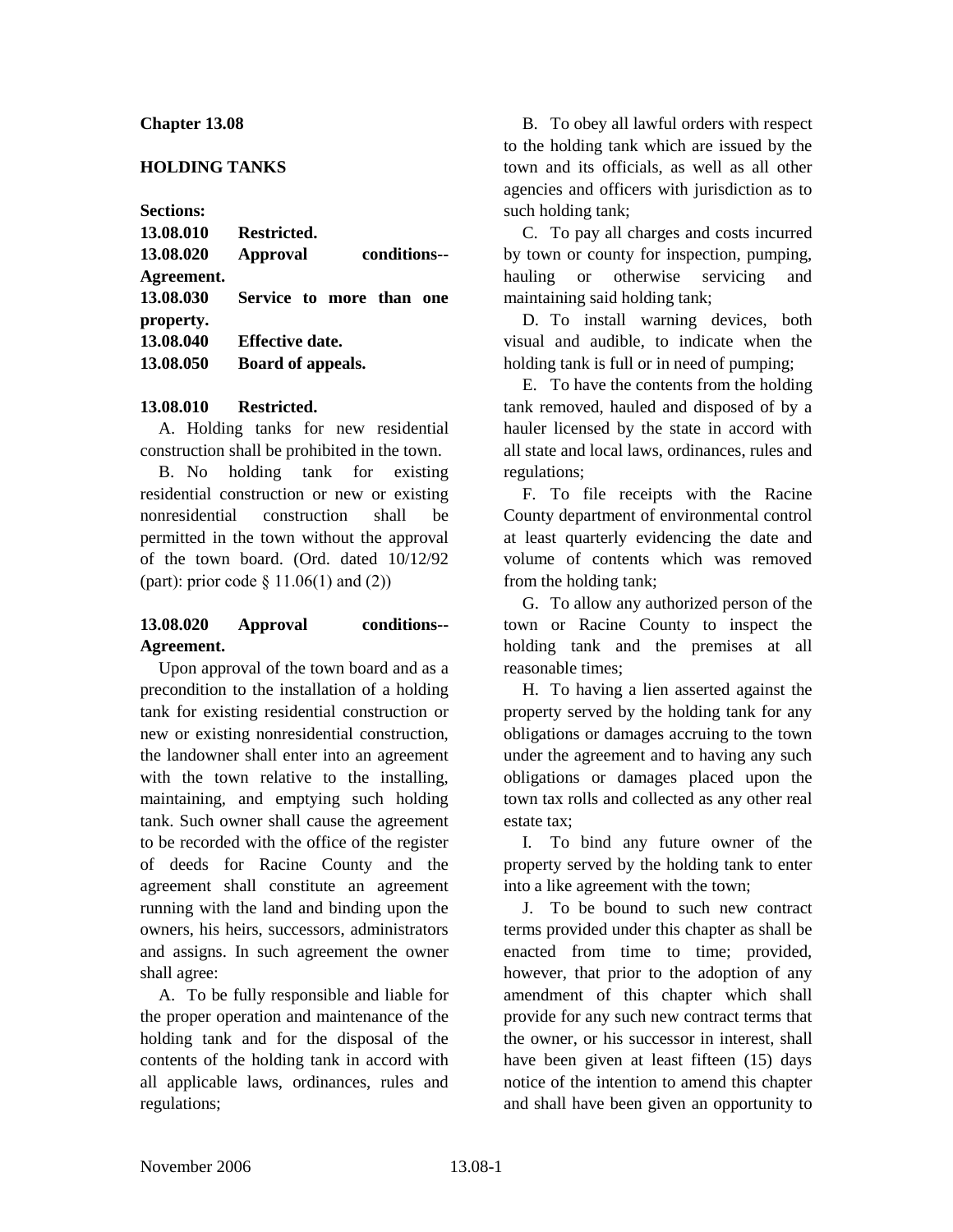#### **Chapter 13.08**

#### **HOLDING TANKS**

**Sections:**

| 13.08.010  | Restricted.              |  |              |  |
|------------|--------------------------|--|--------------|--|
| 13.08.020  | <b>Approval</b>          |  | conditions-- |  |
| Agreement. |                          |  |              |  |
| 13.08.030  | Service to more than one |  |              |  |
| property.  |                          |  |              |  |
| 13.08.040  | <b>Effective date.</b>   |  |              |  |
| 13.08.050  | Board of appeals.        |  |              |  |

#### **13.08.010 Restricted.**

A. Holding tanks for new residential construction shall be prohibited in the town.

B. No holding tank for existing residential construction or new or existing nonresidential construction shall be permitted in the town without the approval of the town board. (Ord. dated 10/12/92 (part): prior code § 11.06(1) and (2))

## **13.08.020 Approval conditions-- Agreement.**

Upon approval of the town board and as a precondition to the installation of a holding tank for existing residential construction or new or existing nonresidential construction, the landowner shall enter into an agreement with the town relative to the installing, maintaining, and emptying such holding tank. Such owner shall cause the agreement to be recorded with the office of the register of deeds for Racine County and the agreement shall constitute an agreement running with the land and binding upon the owners, his heirs, successors, administrators and assigns. In such agreement the owner shall agree:

A. To be fully responsible and liable for the proper operation and maintenance of the holding tank and for the disposal of the contents of the holding tank in accord with all applicable laws, ordinances, rules and regulations;

B. To obey all lawful orders with respect to the holding tank which are issued by the town and its officials, as well as all other agencies and officers with jurisdiction as to such holding tank;

C. To pay all charges and costs incurred by town or county for inspection, pumping, hauling or otherwise servicing and maintaining said holding tank;

D. To install warning devices, both visual and audible, to indicate when the holding tank is full or in need of pumping;

E. To have the contents from the holding tank removed, hauled and disposed of by a hauler licensed by the state in accord with all state and local laws, ordinances, rules and regulations;

F. To file receipts with the Racine County department of environmental control at least quarterly evidencing the date and volume of contents which was removed from the holding tank;

G. To allow any authorized person of the town or Racine County to inspect the holding tank and the premises at all reasonable times;

H. To having a lien asserted against the property served by the holding tank for any obligations or damages accruing to the town under the agreement and to having any such obligations or damages placed upon the town tax rolls and collected as any other real estate tax;

I. To bind any future owner of the property served by the holding tank to enter into a like agreement with the town;

J. To be bound to such new contract terms provided under this chapter as shall be enacted from time to time; provided, however, that prior to the adoption of any amendment of this chapter which shall provide for any such new contract terms that the owner, or his successor in interest, shall have been given at least fifteen (15) days notice of the intention to amend this chapter and shall have been given an opportunity to